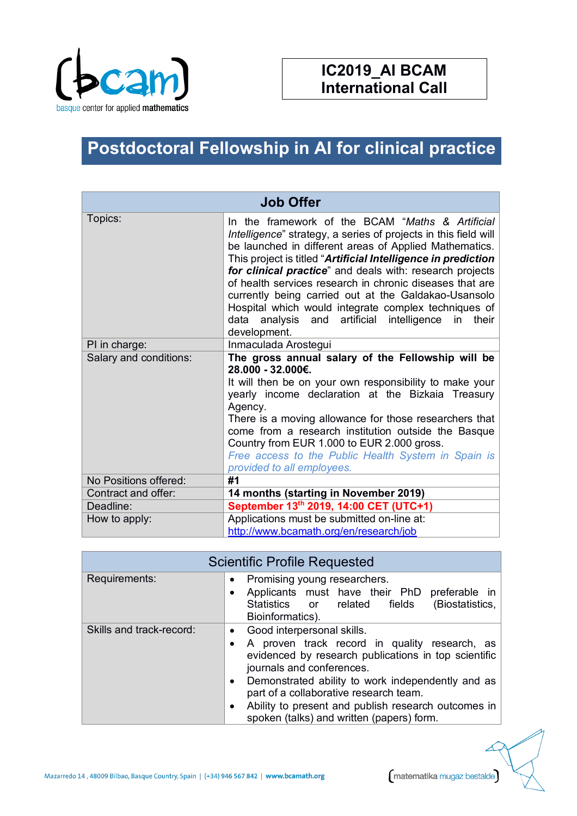

## **IC2019\_AI BCAM International Call**

## **Postdoctoral Fellowship in AI for clinical practice**

| <b>Job Offer</b>       |                                                                                                                                                                                                                                                                                                                                                                                                                                                                                                                                                                 |  |
|------------------------|-----------------------------------------------------------------------------------------------------------------------------------------------------------------------------------------------------------------------------------------------------------------------------------------------------------------------------------------------------------------------------------------------------------------------------------------------------------------------------------------------------------------------------------------------------------------|--|
| Topics:                | In the framework of the BCAM "Maths & Artificial<br>Intelligence" strategy, a series of projects in this field will<br>be launched in different areas of Applied Mathematics.<br>This project is titled "Artificial Intelligence in prediction<br>for clinical practice" and deals with: research projects<br>of health services research in chronic diseases that are<br>currently being carried out at the Galdakao-Usansolo<br>Hospital which would integrate complex techniques of<br>data analysis and artificial intelligence in<br>their<br>development. |  |
| PI in charge:          | Inmaculada Arostegui                                                                                                                                                                                                                                                                                                                                                                                                                                                                                                                                            |  |
| Salary and conditions: | The gross annual salary of the Fellowship will be<br>28.000 - 32.000€.<br>It will then be on your own responsibility to make your<br>yearly income declaration at the Bizkaia Treasury<br>Agency.<br>There is a moving allowance for those researchers that<br>come from a research institution outside the Basque<br>Country from EUR 1.000 to EUR 2.000 gross.<br>Free access to the Public Health System in Spain is<br>provided to all employees.                                                                                                           |  |
| No Positions offered:  | #1                                                                                                                                                                                                                                                                                                                                                                                                                                                                                                                                                              |  |
| Contract and offer:    | 14 months (starting in November 2019)                                                                                                                                                                                                                                                                                                                                                                                                                                                                                                                           |  |
| Deadline:              | September 13th 2019, 14:00 CET (UTC+1)                                                                                                                                                                                                                                                                                                                                                                                                                                                                                                                          |  |
| How to apply:          | Applications must be submitted on-line at:<br>http://www.bcamath.org/en/research/job                                                                                                                                                                                                                                                                                                                                                                                                                                                                            |  |

| <b>Scientific Profile Requested</b> |                                                                                                                                                                                                                                                                                                                                                                                                            |
|-------------------------------------|------------------------------------------------------------------------------------------------------------------------------------------------------------------------------------------------------------------------------------------------------------------------------------------------------------------------------------------------------------------------------------------------------------|
| Requirements:                       | Promising young researchers.<br>$\bullet$<br>Applicants must have their PhD<br>preferable in<br>$\bullet$<br>(Biostatistics,<br>Statistics<br>or related<br>fields<br>Bioinformatics).                                                                                                                                                                                                                     |
| Skills and track-record:            | Good interpersonal skills.<br>$\bullet$<br>A proven track record in quality research, as<br>evidenced by research publications in top scientific<br>journals and conferences.<br>Demonstrated ability to work independently and as<br>$\bullet$<br>part of a collaborative research team.<br>Ability to present and publish research outcomes in<br>$\bullet$<br>spoken (talks) and written (papers) form. |

Mazarredo 14, 48009 Bilbao, Basque Country, Spain | (+34) 946 567 842 | www.bcamath.org

matematika mugaz bestalde